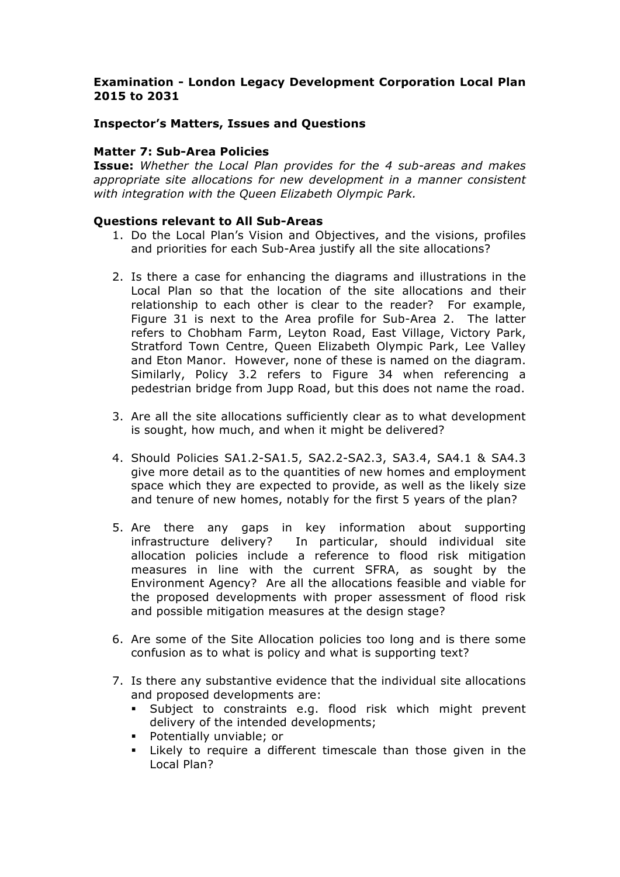# **Examination - London Legacy Development Corporation Local Plan 2015 to 2031**

### **Inspector's Matters, Issues and Questions**

### **Matter 7: Sub-Area Policies**

**Issue:** *Whether the Local Plan provides for the 4 sub-areas and makes appropriate site allocations for new development in a manner consistent with integration with the Queen Elizabeth Olympic Park.*

#### **Questions relevant to All Sub-Areas**

- 1. Do the Local Plan's Vision and Objectives, and the visions, profiles and priorities for each Sub-Area justify all the site allocations?
- 2. Is there a case for enhancing the diagrams and illustrations in the Local Plan so that the location of the site allocations and their relationship to each other is clear to the reader? For example, Figure 31 is next to the Area profile for Sub-Area 2. The latter refers to Chobham Farm, Leyton Road, East Village, Victory Park, Stratford Town Centre, Queen Elizabeth Olympic Park, Lee Valley and Eton Manor. However, none of these is named on the diagram. Similarly, Policy 3.2 refers to Figure 34 when referencing a pedestrian bridge from Jupp Road, but this does not name the road.
- 3. Are all the site allocations sufficiently clear as to what development is sought, how much, and when it might be delivered?
- 4. Should Policies SA1.2-SA1.5, SA2.2-SA2.3, SA3.4, SA4.1 & SA4.3 give more detail as to the quantities of new homes and employment space which they are expected to provide, as well as the likely size and tenure of new homes, notably for the first 5 years of the plan?
- 5. Are there any gaps in key information about supporting infrastructure delivery? In particular, should individual site allocation policies include a reference to flood risk mitigation measures in line with the current SFRA, as sought by the Environment Agency? Are all the allocations feasible and viable for the proposed developments with proper assessment of flood risk and possible mitigation measures at the design stage?
- 6. Are some of the Site Allocation policies too long and is there some confusion as to what is policy and what is supporting text?
- 7. Is there any substantive evidence that the individual site allocations and proposed developments are:
	- § Subject to constraints e.g. flood risk which might prevent delivery of the intended developments;
	- § Potentially unviable; or
	- Likely to require a different timescale than those given in the Local Plan?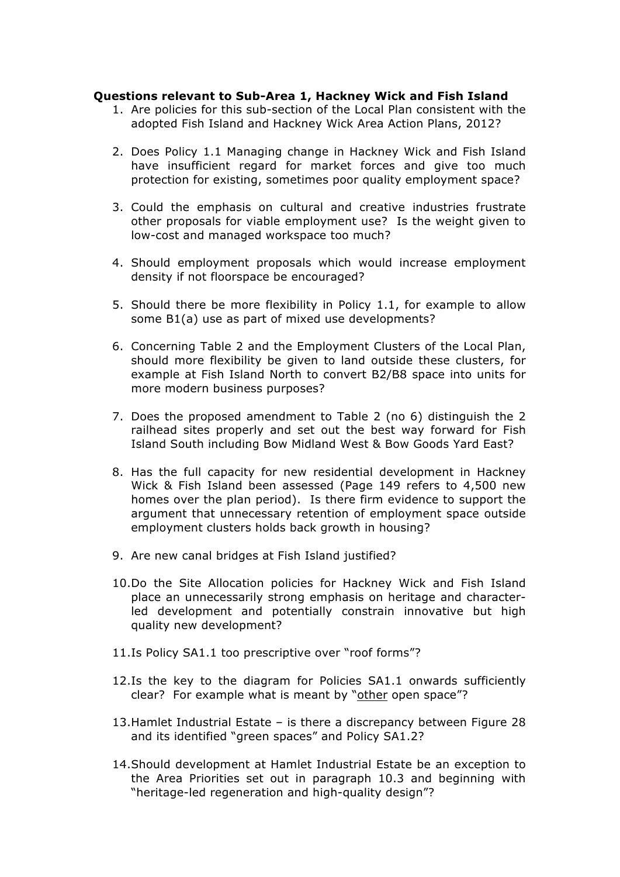#### **Questions relevant to Sub-Area 1, Hackney Wick and Fish Island**

- 1. Are policies for this sub-section of the Local Plan consistent with the adopted Fish Island and Hackney Wick Area Action Plans, 2012?
- 2. Does Policy 1.1 Managing change in Hackney Wick and Fish Island have insufficient regard for market forces and give too much protection for existing, sometimes poor quality employment space?
- 3. Could the emphasis on cultural and creative industries frustrate other proposals for viable employment use? Is the weight given to low-cost and managed workspace too much?
- 4. Should employment proposals which would increase employment density if not floorspace be encouraged?
- 5. Should there be more flexibility in Policy 1.1, for example to allow some B1(a) use as part of mixed use developments?
- 6. Concerning Table 2 and the Employment Clusters of the Local Plan, should more flexibility be given to land outside these clusters, for example at Fish Island North to convert B2/B8 space into units for more modern business purposes?
- 7. Does the proposed amendment to Table 2 (no 6) distinguish the 2 railhead sites properly and set out the best way forward for Fish Island South including Bow Midland West & Bow Goods Yard East?
- 8. Has the full capacity for new residential development in Hackney Wick & Fish Island been assessed (Page 149 refers to 4,500 new homes over the plan period). Is there firm evidence to support the argument that unnecessary retention of employment space outside employment clusters holds back growth in housing?
- 9. Are new canal bridges at Fish Island justified?
- 10.Do the Site Allocation policies for Hackney Wick and Fish Island place an unnecessarily strong emphasis on heritage and characterled development and potentially constrain innovative but high quality new development?
- 11.Is Policy SA1.1 too prescriptive over "roof forms"?
- 12.Is the key to the diagram for Policies SA1.1 onwards sufficiently clear? For example what is meant by "other open space"?
- 13.Hamlet Industrial Estate is there a discrepancy between Figure 28 and its identified "green spaces" and Policy SA1.2?
- 14.Should development at Hamlet Industrial Estate be an exception to the Area Priorities set out in paragraph 10.3 and beginning with "heritage-led regeneration and high-quality design"?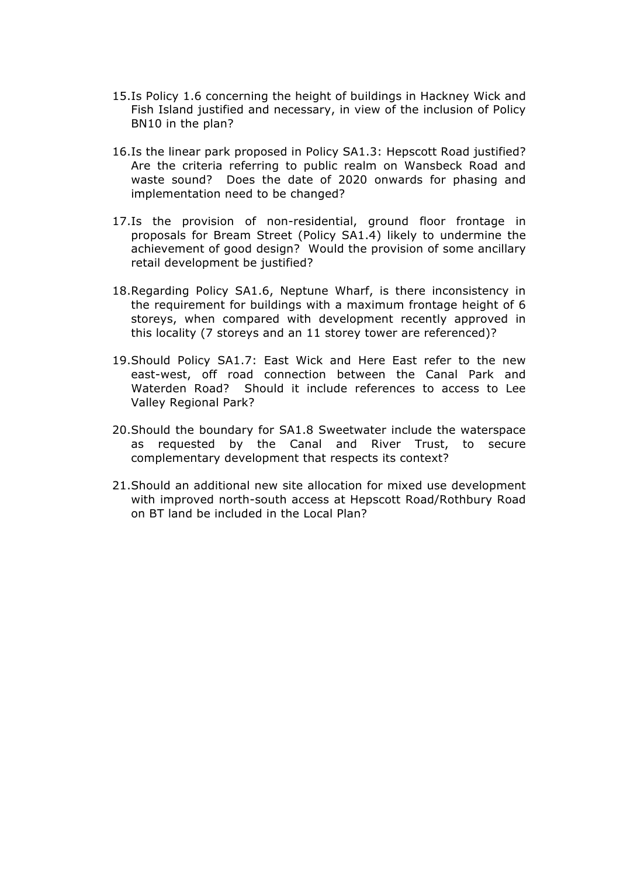- 15.Is Policy 1.6 concerning the height of buildings in Hackney Wick and Fish Island justified and necessary, in view of the inclusion of Policy BN10 in the plan?
- 16.Is the linear park proposed in Policy SA1.3: Hepscott Road justified? Are the criteria referring to public realm on Wansbeck Road and waste sound? Does the date of 2020 onwards for phasing and implementation need to be changed?
- 17.Is the provision of non-residential, ground floor frontage in proposals for Bream Street (Policy SA1.4) likely to undermine the achievement of good design? Would the provision of some ancillary retail development be justified?
- 18.Regarding Policy SA1.6, Neptune Wharf, is there inconsistency in the requirement for buildings with a maximum frontage height of 6 storeys, when compared with development recently approved in this locality (7 storeys and an 11 storey tower are referenced)?
- 19.Should Policy SA1.7: East Wick and Here East refer to the new east-west, off road connection between the Canal Park and Waterden Road? Should it include references to access to Lee Valley Regional Park?
- 20.Should the boundary for SA1.8 Sweetwater include the waterspace as requested by the Canal and River Trust, to secure complementary development that respects its context?
- 21.Should an additional new site allocation for mixed use development with improved north-south access at Hepscott Road/Rothbury Road on BT land be included in the Local Plan?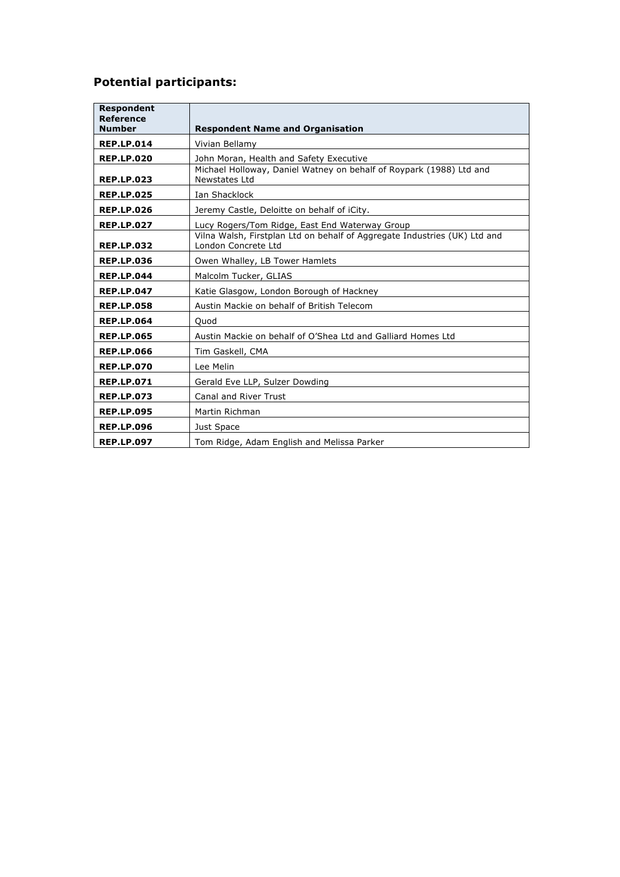# **Potential participants:**

| <b>Respondent</b>          |                                                                           |
|----------------------------|---------------------------------------------------------------------------|
| Reference<br><b>Number</b> | <b>Respondent Name and Organisation</b>                                   |
| <b>REP.LP.014</b>          | Vivian Bellamy                                                            |
| <b>REP.LP.020</b>          | John Moran, Health and Safety Executive                                   |
|                            | Michael Holloway, Daniel Watney on behalf of Roypark (1988) Ltd and       |
| <b>REP.LP.023</b>          | Newstates Ltd                                                             |
| <b>REP.LP.025</b>          | Ian Shacklock                                                             |
| <b>REP.LP.026</b>          | Jeremy Castle, Deloitte on behalf of iCity.                               |
| <b>REP.LP.027</b>          | Lucy Rogers/Tom Ridge, East End Waterway Group                            |
|                            | Vilna Walsh, Firstplan Ltd on behalf of Aggregate Industries (UK) Ltd and |
| <b>REP.LP.032</b>          | London Concrete Ltd                                                       |
| <b>REP.LP.036</b>          | Owen Whalley, LB Tower Hamlets                                            |
| <b>REP.LP.044</b>          | Malcolm Tucker, GLIAS                                                     |
| <b>REP.LP.047</b>          | Katie Glasgow, London Borough of Hackney                                  |
| <b>REP.LP.058</b>          | Austin Mackie on behalf of British Telecom                                |
| <b>REP.LP.064</b>          | Quod                                                                      |
| <b>REP.LP.065</b>          | Austin Mackie on behalf of O'Shea Ltd and Galliard Homes Ltd              |
| <b>REP.LP.066</b>          | Tim Gaskell, CMA                                                          |
| <b>REP.LP.070</b>          | Lee Melin                                                                 |
| <b>REP.LP.071</b>          | Gerald Eve LLP, Sulzer Dowding                                            |
| <b>REP.LP.073</b>          | <b>Canal and River Trust</b>                                              |
| <b>REP.LP.095</b>          | Martin Richman                                                            |
| <b>REP.LP.096</b>          | Just Space                                                                |
| <b>REP.LP.097</b>          | Tom Ridge, Adam English and Melissa Parker                                |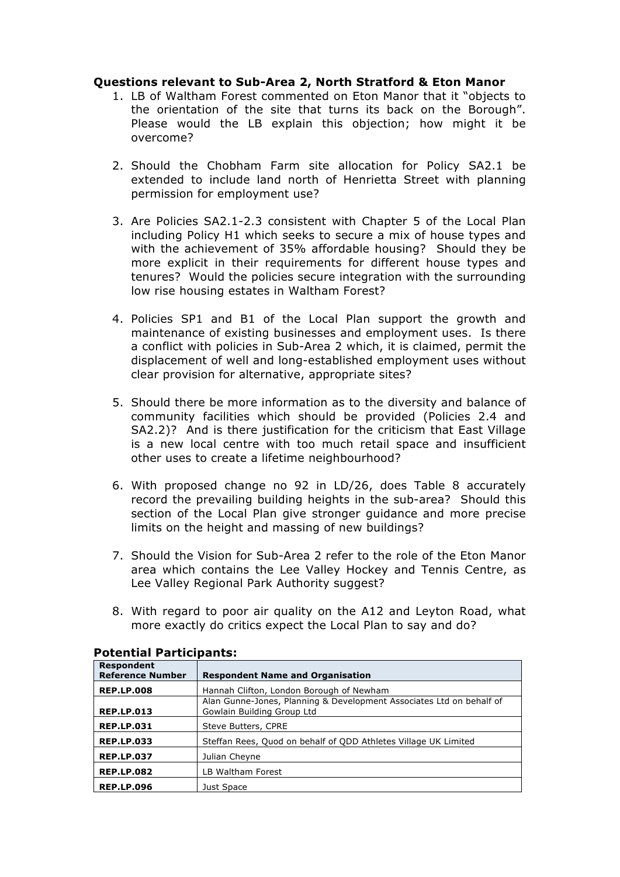### **Questions relevant to Sub-Area 2, North Stratford & Eton Manor**

- 1. LB of Waltham Forest commented on Eton Manor that it "objects to the orientation of the site that turns its back on the Borough". Please would the LB explain this objection; how might it be overcome?
- 2. Should the Chobham Farm site allocation for Policy SA2.1 be extended to include land north of Henrietta Street with planning permission for employment use?
- 3. Are Policies SA2.1-2.3 consistent with Chapter 5 of the Local Plan including Policy H1 which seeks to secure a mix of house types and with the achievement of 35% affordable housing? Should they be more explicit in their requirements for different house types and tenures? Would the policies secure integration with the surrounding low rise housing estates in Waltham Forest?
- 4. Policies SP1 and B1 of the Local Plan support the growth and maintenance of existing businesses and employment uses. Is there a conflict with policies in Sub-Area 2 which, it is claimed, permit the displacement of well and long-established employment uses without clear provision for alternative, appropriate sites?
- 5. Should there be more information as to the diversity and balance of community facilities which should be provided (Policies 2.4 and SA2.2)? And is there justification for the criticism that East Village is a new local centre with too much retail space and insufficient other uses to create a lifetime neighbourhood?
- 6. With proposed change no 92 in LD/26, does Table 8 accurately record the prevailing building heights in the sub-area? Should this section of the Local Plan give stronger guidance and more precise limits on the height and massing of new buildings?
- 7. Should the Vision for Sub-Area 2 refer to the role of the Eton Manor area which contains the Lee Valley Hockey and Tennis Centre, as Lee Valley Regional Park Authority suggest?
- 8. With regard to poor air quality on the A12 and Leyton Road, what more exactly do critics expect the Local Plan to say and do?

| <b>Respondent</b><br><b>Reference Number</b> | <b>Respondent Name and Organisation</b>                                                            |
|----------------------------------------------|----------------------------------------------------------------------------------------------------|
| <b>REP.LP.008</b>                            | Hannah Clifton, London Borough of Newham                                                           |
| <b>REP.LP.013</b>                            | Alan Gunne-Jones, Planning & Development Associates Ltd on behalf of<br>Gowlain Building Group Ltd |
| <b>REP.LP.031</b>                            | Steve Butters, CPRE                                                                                |
| <b>REP.LP.033</b>                            | Steffan Rees, Quod on behalf of ODD Athletes Village UK Limited                                    |
| <b>REP.LP.037</b>                            | Julian Cheyne                                                                                      |
| <b>REP.LP.082</b>                            | LB Waltham Forest                                                                                  |
| <b>REP.LP.096</b>                            | Just Space                                                                                         |

#### **Potential Participants:**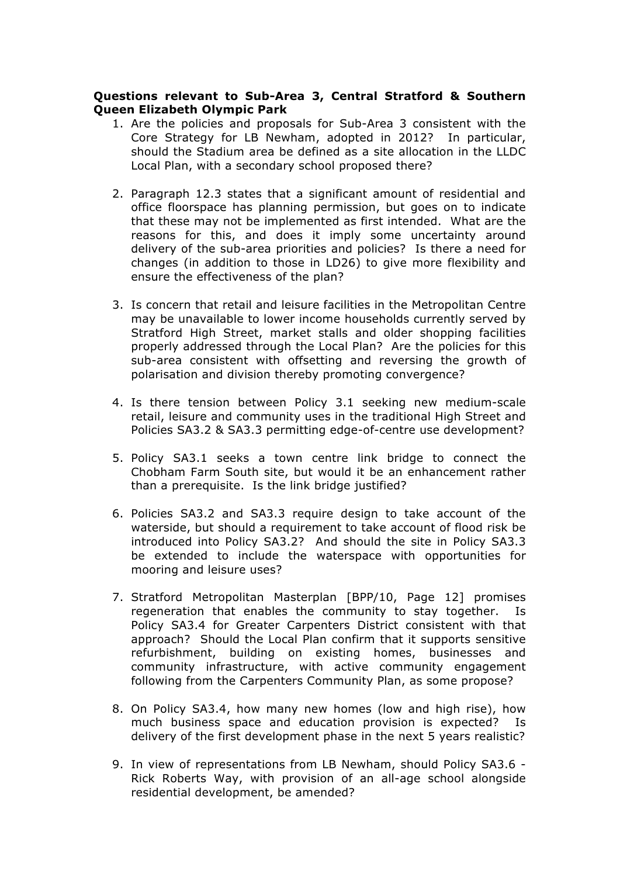# **Questions relevant to Sub-Area 3, Central Stratford & Southern Queen Elizabeth Olympic Park**

- 1. Are the policies and proposals for Sub-Area 3 consistent with the Core Strategy for LB Newham, adopted in 2012? In particular, should the Stadium area be defined as a site allocation in the LLDC Local Plan, with a secondary school proposed there?
- 2. Paragraph 12.3 states that a significant amount of residential and office floorspace has planning permission, but goes on to indicate that these may not be implemented as first intended. What are the reasons for this, and does it imply some uncertainty around delivery of the sub-area priorities and policies? Is there a need for changes (in addition to those in LD26) to give more flexibility and ensure the effectiveness of the plan?
- 3. Is concern that retail and leisure facilities in the Metropolitan Centre may be unavailable to lower income households currently served by Stratford High Street, market stalls and older shopping facilities properly addressed through the Local Plan? Are the policies for this sub-area consistent with offsetting and reversing the growth of polarisation and division thereby promoting convergence?
- 4. Is there tension between Policy 3.1 seeking new medium-scale retail, leisure and community uses in the traditional High Street and Policies SA3.2 & SA3.3 permitting edge-of-centre use development?
- 5. Policy SA3.1 seeks a town centre link bridge to connect the Chobham Farm South site, but would it be an enhancement rather than a prerequisite. Is the link bridge justified?
- 6. Policies SA3.2 and SA3.3 require design to take account of the waterside, but should a requirement to take account of flood risk be introduced into Policy SA3.2? And should the site in Policy SA3.3 be extended to include the waterspace with opportunities for mooring and leisure uses?
- 7. Stratford Metropolitan Masterplan [BPP/10, Page 12] promises regeneration that enables the community to stay together. Is Policy SA3.4 for Greater Carpenters District consistent with that approach? Should the Local Plan confirm that it supports sensitive refurbishment, building on existing homes, businesses and community infrastructure, with active community engagement following from the Carpenters Community Plan, as some propose?
- 8. On Policy SA3.4, how many new homes (low and high rise), how much business space and education provision is expected? Is delivery of the first development phase in the next 5 years realistic?
- 9. In view of representations from LB Newham, should Policy SA3.6 Rick Roberts Way, with provision of an all-age school alongside residential development, be amended?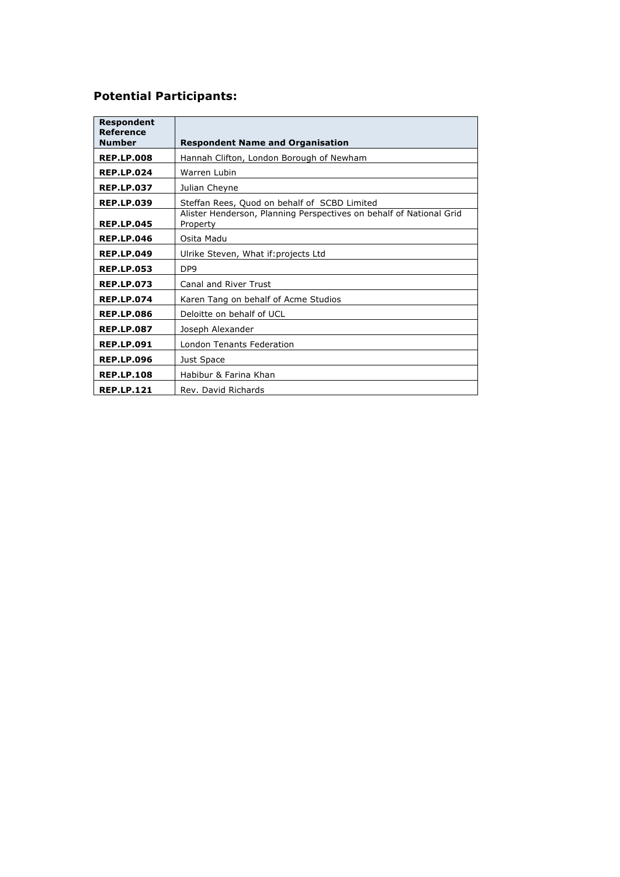# **Potential Participants:**

| <b>Respondent</b><br><b>Reference</b><br><b>Number</b> | <b>Respondent Name and Organisation</b>                                         |
|--------------------------------------------------------|---------------------------------------------------------------------------------|
| <b>REP.LP.008</b>                                      | Hannah Clifton, London Borough of Newham                                        |
| <b>REP.LP.024</b>                                      | Warren Lubin                                                                    |
| <b>REP.LP.037</b>                                      | Julian Cheyne                                                                   |
| <b>REP.LP.039</b>                                      | Steffan Rees, Quod on behalf of SCBD Limited                                    |
| <b>REP.LP.045</b>                                      | Alister Henderson, Planning Perspectives on behalf of National Grid<br>Property |
| <b>REP.LP.046</b>                                      | Osita Madu                                                                      |
| <b>REP.LP.049</b>                                      | Ulrike Steven, What if: projects Ltd                                            |
| <b>REP.LP.053</b>                                      | DP <sub>9</sub>                                                                 |
| <b>REP.LP.073</b>                                      | Canal and River Trust                                                           |
| <b>REP.LP.074</b>                                      | Karen Tang on behalf of Acme Studios                                            |
| <b>REP.LP.086</b>                                      | Deloitte on behalf of UCL                                                       |
| <b>REP.LP.087</b>                                      | Joseph Alexander                                                                |
| <b>REP.LP.091</b>                                      | <b>London Tenants Federation</b>                                                |
| <b>REP.LP.096</b>                                      | Just Space                                                                      |
| <b>REP.LP.108</b>                                      | Habibur & Farina Khan                                                           |
| <b>REP.LP.121</b>                                      | Rev. David Richards                                                             |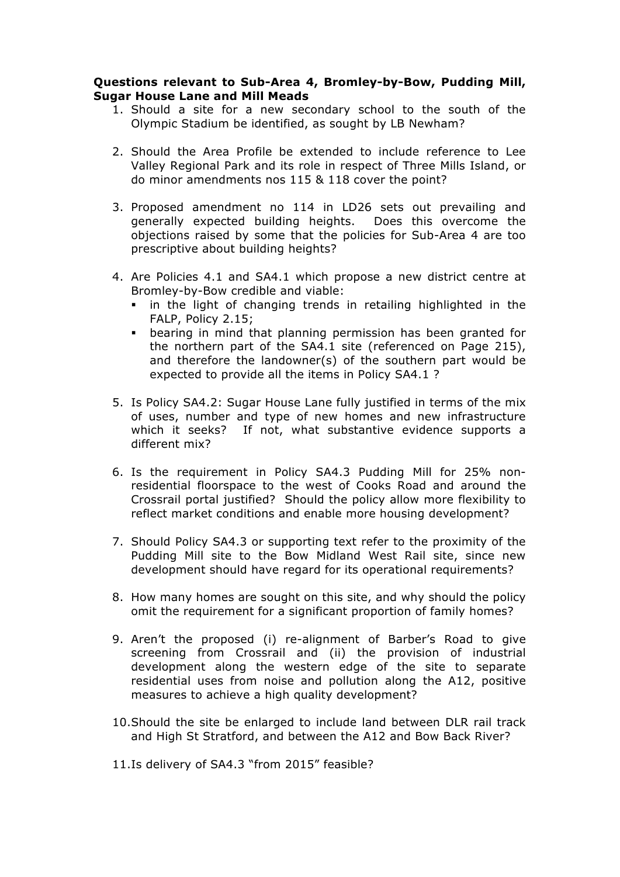#### **Questions relevant to Sub-Area 4, Bromley-by-Bow, Pudding Mill, Sugar House Lane and Mill Meads**

- 1. Should a site for a new secondary school to the south of the Olympic Stadium be identified, as sought by LB Newham?
- 2. Should the Area Profile be extended to include reference to Lee Valley Regional Park and its role in respect of Three Mills Island, or do minor amendments nos 115 & 118 cover the point?
- 3. Proposed amendment no 114 in LD26 sets out prevailing and generally expected building heights. Does this overcome the objections raised by some that the policies for Sub-Area 4 are too prescriptive about building heights?
- 4. Are Policies 4.1 and SA4.1 which propose a new district centre at Bromley-by-Bow credible and viable:
	- in the light of changing trends in retailing highlighted in the FALP, Policy 2.15;
	- bearing in mind that planning permission has been granted for the northern part of the SA4.1 site (referenced on Page 215), and therefore the landowner(s) of the southern part would be expected to provide all the items in Policy SA4.1 ?
- 5. Is Policy SA4.2: Sugar House Lane fully justified in terms of the mix of uses, number and type of new homes and new infrastructure which it seeks? If not, what substantive evidence supports a different mix?
- 6. Is the requirement in Policy SA4.3 Pudding Mill for 25% nonresidential floorspace to the west of Cooks Road and around the Crossrail portal justified? Should the policy allow more flexibility to reflect market conditions and enable more housing development?
- 7. Should Policy SA4.3 or supporting text refer to the proximity of the Pudding Mill site to the Bow Midland West Rail site, since new development should have regard for its operational requirements?
- 8. How many homes are sought on this site, and why should the policy omit the requirement for a significant proportion of family homes?
- 9. Aren't the proposed (i) re-alignment of Barber's Road to give screening from Crossrail and (ii) the provision of industrial development along the western edge of the site to separate residential uses from noise and pollution along the A12, positive measures to achieve a high quality development?
- 10.Should the site be enlarged to include land between DLR rail track and High St Stratford, and between the A12 and Bow Back River?

11.Is delivery of SA4.3 "from 2015" feasible?